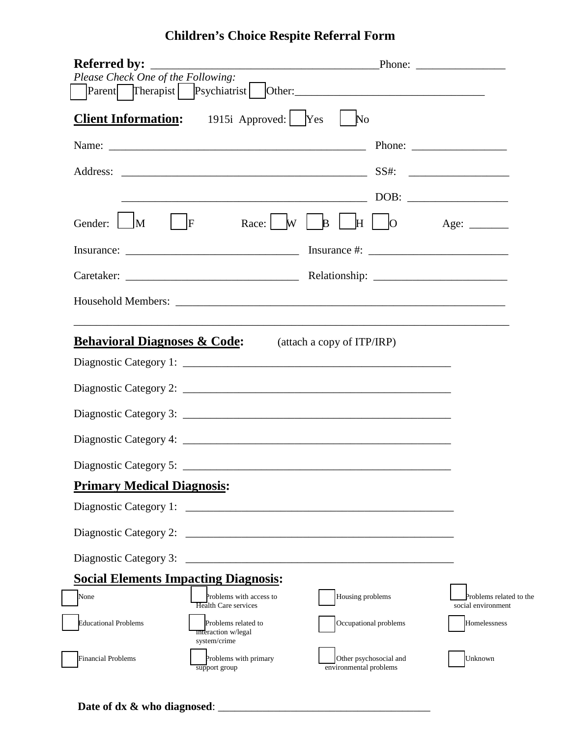## **Children's Choice Respite Referral Form**

| Please Check One of the Following:          |                                                            |                                                                                                                |                         |
|---------------------------------------------|------------------------------------------------------------|----------------------------------------------------------------------------------------------------------------|-------------------------|
|                                             | <b>Client Information:</b> 1915i Approved: Yes             | $\mathbb{N}^{\Omega}$                                                                                          |                         |
|                                             |                                                            | Name: Phone: Phone: Phone: 2003.                                                                               |                         |
|                                             |                                                            |                                                                                                                |                         |
|                                             |                                                            |                                                                                                                |                         |
|                                             |                                                            | Gender: $\Box M$   $\vert$ F Race: $\vert W \vert$ B $\vert$ H $\vert$ O Age: ______                           |                         |
|                                             |                                                            |                                                                                                                |                         |
|                                             |                                                            |                                                                                                                |                         |
|                                             |                                                            |                                                                                                                |                         |
|                                             |                                                            |                                                                                                                |                         |
| <b>Behavioral Diagnoses &amp; Code:</b>     |                                                            | (attach a copy of ITP/IRP)                                                                                     |                         |
|                                             |                                                            |                                                                                                                |                         |
|                                             |                                                            |                                                                                                                |                         |
|                                             |                                                            |                                                                                                                |                         |
|                                             |                                                            |                                                                                                                |                         |
|                                             |                                                            |                                                                                                                |                         |
| <b>Primary Medical Diagnosis:</b>           |                                                            |                                                                                                                |                         |
|                                             |                                                            |                                                                                                                |                         |
|                                             |                                                            |                                                                                                                |                         |
|                                             |                                                            | Diagnostic Category 3: 2008 2009 2010 2020 2020 2021 2021 2022 2021 2022 2021 2022 2022 2023 2024 2022 2022 20 |                         |
| <b>Social Elements Impacting Diagnosis:</b> |                                                            |                                                                                                                |                         |
| None                                        | Problems with access to                                    | Housing problems                                                                                               | Problems related to the |
|                                             | Health Care services                                       |                                                                                                                | social environment      |
| <b>Educational Problems</b>                 | Problems related to<br>interaction w/legal<br>system/crime | Occupational problems                                                                                          | Homelessness            |